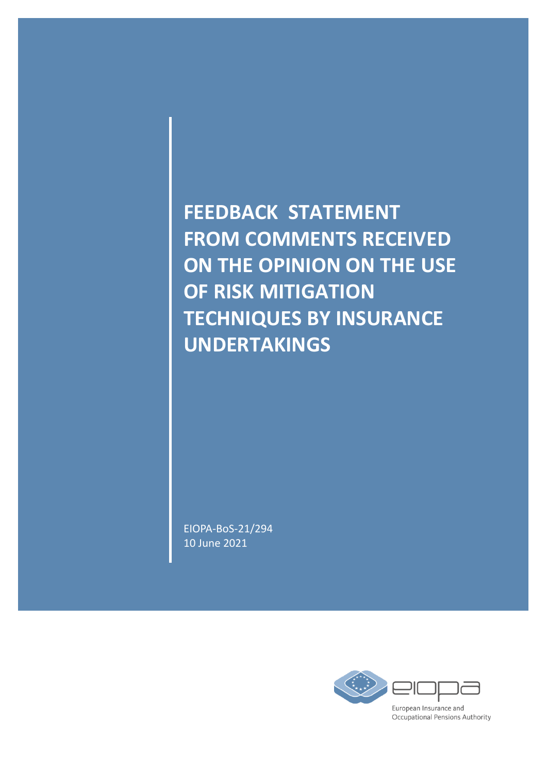**FEEDBACK STATEMENT FROM COMMENTS RECEIVED ON THE OPINION ON THE USE OF RISK MITIGATION TECHNIQUES BY INSURANCE UNDERTAKINGS**

EIOPA-BoS-21/294 10 June 2021

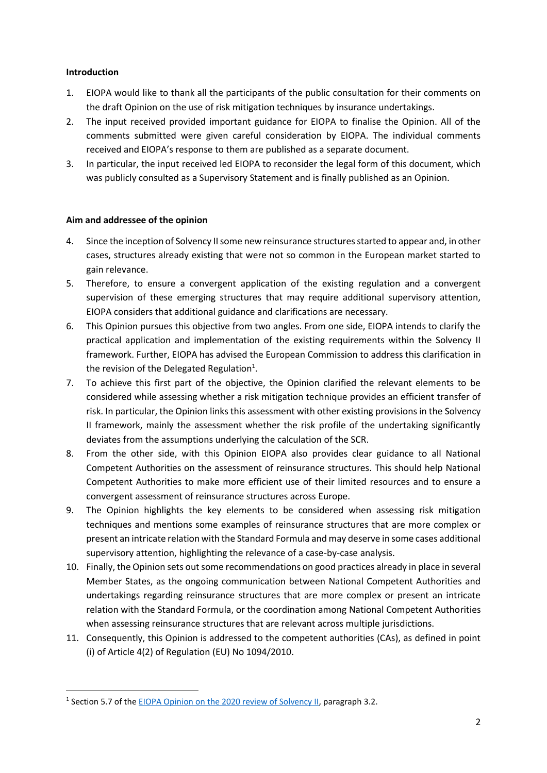### **Introduction**

**.** 

- 1. EIOPA would like to thank all the participants of the public consultation for their comments on the draft Opinion on the use of risk mitigation techniques by insurance undertakings.
- 2. The input received provided important guidance for EIOPA to finalise the Opinion. All of the comments submitted were given careful consideration by EIOPA. The individual comments received and EIOPA's response to them are published as a separate document.
- 3. In particular, the input received led EIOPA to reconsider the legal form of this document, which was publicly consulted as a Supervisory Statement and is finally published as an Opinion.

## **Aim and addressee of the opinion**

- 4. Since the inception of Solvency II some new reinsurance structures started to appear and, in other cases, structures already existing that were not so common in the European market started to gain relevance.
- 5. Therefore, to ensure a convergent application of the existing regulation and a convergent supervision of these emerging structures that may require additional supervisory attention, EIOPA considers that additional guidance and clarifications are necessary.
- 6. This Opinion pursues this objective from two angles. From one side, EIOPA intends to clarify the practical application and implementation of the existing requirements within the Solvency II framework. Further, EIOPA has advised the European Commission to address this clarification in the revision of the Delegated Regulation<sup>1</sup>.
- 7. To achieve this first part of the objective, the Opinion clarified the relevant elements to be considered while assessing whether a risk mitigation technique provides an efficient transfer of risk. In particular, the Opinion links this assessment with other existing provisions in the Solvency II framework, mainly the assessment whether the risk profile of the undertaking significantly deviates from the assumptions underlying the calculation of the SCR.
- 8. From the other side, with this Opinion EIOPA also provides clear guidance to all National Competent Authorities on the assessment of reinsurance structures. This should help National Competent Authorities to make more efficient use of their limited resources and to ensure a convergent assessment of reinsurance structures across Europe.
- 9. The Opinion highlights the key elements to be considered when assessing risk mitigation techniques and mentions some examples of reinsurance structures that are more complex or present an intricate relation with the Standard Formula and may deserve in some cases additional supervisory attention, highlighting the relevance of a case-by-case analysis.
- 10. Finally, the Opinion sets out some recommendations on good practices already in place in several Member States, as the ongoing communication between National Competent Authorities and undertakings regarding reinsurance structures that are more complex or present an intricate relation with the Standard Formula, or the coordination among National Competent Authorities when assessing reinsurance structures that are relevant across multiple jurisdictions.
- 11. Consequently, this Opinion is addressed to the competent authorities (CAs), as defined in point (i) of Article 4(2) of Regulation (EU) No 1094/2010.

<sup>&</sup>lt;sup>1</sup> Section 5.7 of the [EIOPA Opinion on the 2020 review of Solvency II,](https://www.eiopa.europa.eu/content/opinion-2020-review-of-solvency-ii_en) paragraph 3.2.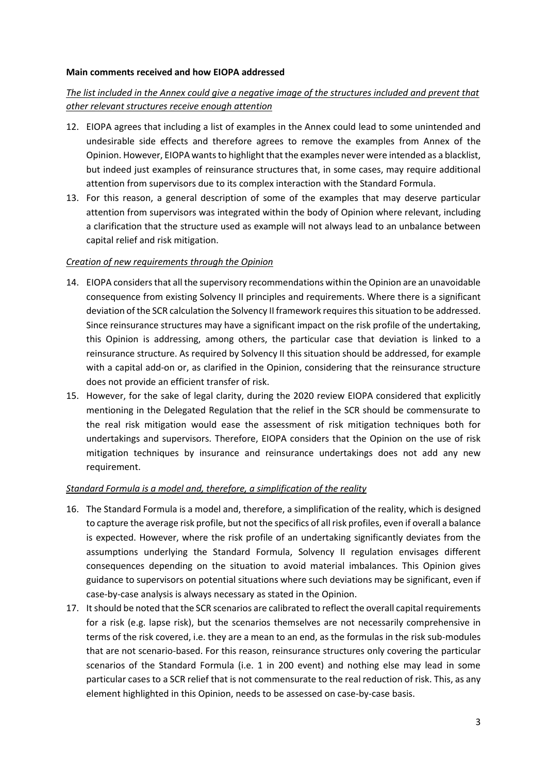#### **Main comments received and how EIOPA addressed**

# *The list included in the Annex could give a negative image of the structures included and prevent that other relevant structures receive enough attention*

- 12. EIOPA agrees that including a list of examples in the Annex could lead to some unintended and undesirable side effects and therefore agrees to remove the examples from Annex of the Opinion. However, EIOPA wants to highlight that the examples never were intended as a blacklist, but indeed just examples of reinsurance structures that, in some cases, may require additional attention from supervisors due to its complex interaction with the Standard Formula.
- 13. For this reason, a general description of some of the examples that may deserve particular attention from supervisors was integrated within the body of Opinion where relevant, including a clarification that the structure used as example will not always lead to an unbalance between capital relief and risk mitigation.

#### *Creation of new requirements through the Opinion*

- 14. EIOPA considers that all the supervisory recommendations within the Opinion are an unavoidable consequence from existing Solvency II principles and requirements. Where there is a significant deviation of the SCR calculation the Solvency II framework requires thissituation to be addressed. Since reinsurance structures may have a significant impact on the risk profile of the undertaking, this Opinion is addressing, among others, the particular case that deviation is linked to a reinsurance structure. As required by Solvency II this situation should be addressed, for example with a capital add-on or, as clarified in the Opinion, considering that the reinsurance structure does not provide an efficient transfer of risk.
- 15. However, for the sake of legal clarity, during the 2020 review EIOPA considered that explicitly mentioning in the Delegated Regulation that the relief in the SCR should be commensurate to the real risk mitigation would ease the assessment of risk mitigation techniques both for undertakings and supervisors. Therefore, EIOPA considers that the Opinion on the use of risk mitigation techniques by insurance and reinsurance undertakings does not add any new requirement.

#### *Standard Formula is a model and, therefore, a simplification of the reality*

- 16. The Standard Formula is a model and, therefore, a simplification of the reality, which is designed to capture the average risk profile, but not the specifics of all risk profiles, even if overall a balance is expected. However, where the risk profile of an undertaking significantly deviates from the assumptions underlying the Standard Formula, Solvency II regulation envisages different consequences depending on the situation to avoid material imbalances. This Opinion gives guidance to supervisors on potential situations where such deviations may be significant, even if case-by-case analysis is always necessary as stated in the Opinion.
- 17. It should be noted that the SCR scenarios are calibrated to reflect the overall capital requirements for a risk (e.g. lapse risk), but the scenarios themselves are not necessarily comprehensive in terms of the risk covered, i.e. they are a mean to an end, as the formulas in the risk sub-modules that are not scenario-based. For this reason, reinsurance structures only covering the particular scenarios of the Standard Formula (i.e. 1 in 200 event) and nothing else may lead in some particular cases to a SCR relief that is not commensurate to the real reduction of risk. This, as any element highlighted in this Opinion, needs to be assessed on case-by-case basis.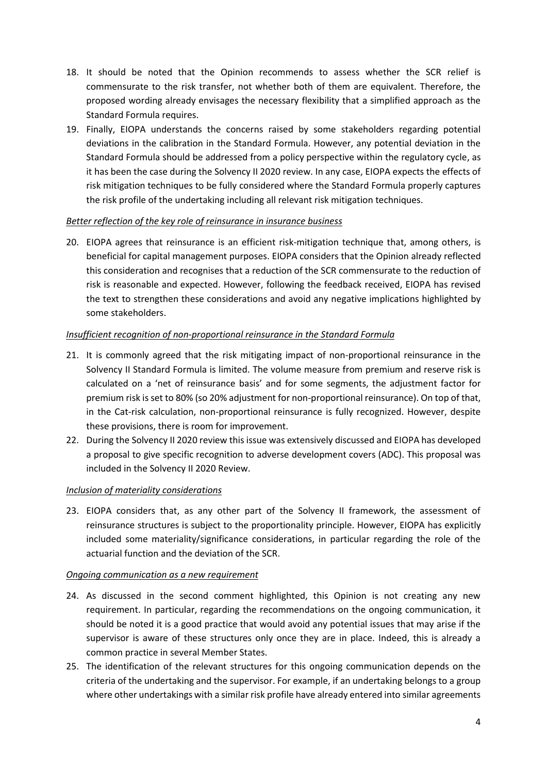- 18. It should be noted that the Opinion recommends to assess whether the SCR relief is commensurate to the risk transfer, not whether both of them are equivalent. Therefore, the proposed wording already envisages the necessary flexibility that a simplified approach as the Standard Formula requires.
- 19. Finally, EIOPA understands the concerns raised by some stakeholders regarding potential deviations in the calibration in the Standard Formula. However, any potential deviation in the Standard Formula should be addressed from a policy perspective within the regulatory cycle, as it has been the case during the Solvency II 2020 review. In any case, EIOPA expects the effects of risk mitigation techniques to be fully considered where the Standard Formula properly captures the risk profile of the undertaking including all relevant risk mitigation techniques.

# *Better reflection of the key role of reinsurance in insurance business*

20. EIOPA agrees that reinsurance is an efficient risk-mitigation technique that, among others, is beneficial for capital management purposes. EIOPA considers that the Opinion already reflected this consideration and recognises that a reduction of the SCR commensurate to the reduction of risk is reasonable and expected. However, following the feedback received, EIOPA has revised the text to strengthen these considerations and avoid any negative implications highlighted by some stakeholders.

# *Insufficient recognition of non-proportional reinsurance in the Standard Formula*

- 21. It is commonly agreed that the risk mitigating impact of non-proportional reinsurance in the Solvency II Standard Formula is limited. The volume measure from premium and reserve risk is calculated on a 'net of reinsurance basis' and for some segments, the adjustment factor for premium risk is set to 80% (so 20% adjustment for non-proportional reinsurance). On top of that, in the Cat-risk calculation, non-proportional reinsurance is fully recognized. However, despite these provisions, there is room for improvement.
- 22. During the Solvency II 2020 review this issue was extensively discussed and EIOPA has developed a proposal to give specific recognition to adverse development covers (ADC). This proposal was included in the Solvency II 2020 Review.

## *Inclusion of materiality considerations*

23. EIOPA considers that, as any other part of the Solvency II framework, the assessment of reinsurance structures is subject to the proportionality principle. However, EIOPA has explicitly included some materiality/significance considerations, in particular regarding the role of the actuarial function and the deviation of the SCR.

## *Ongoing communication as a new requirement*

- 24. As discussed in the second comment highlighted, this Opinion is not creating any new requirement. In particular, regarding the recommendations on the ongoing communication, it should be noted it is a good practice that would avoid any potential issues that may arise if the supervisor is aware of these structures only once they are in place. Indeed, this is already a common practice in several Member States.
- 25. The identification of the relevant structures for this ongoing communication depends on the criteria of the undertaking and the supervisor. For example, if an undertaking belongs to a group where other undertakings with a similar risk profile have already entered into similar agreements